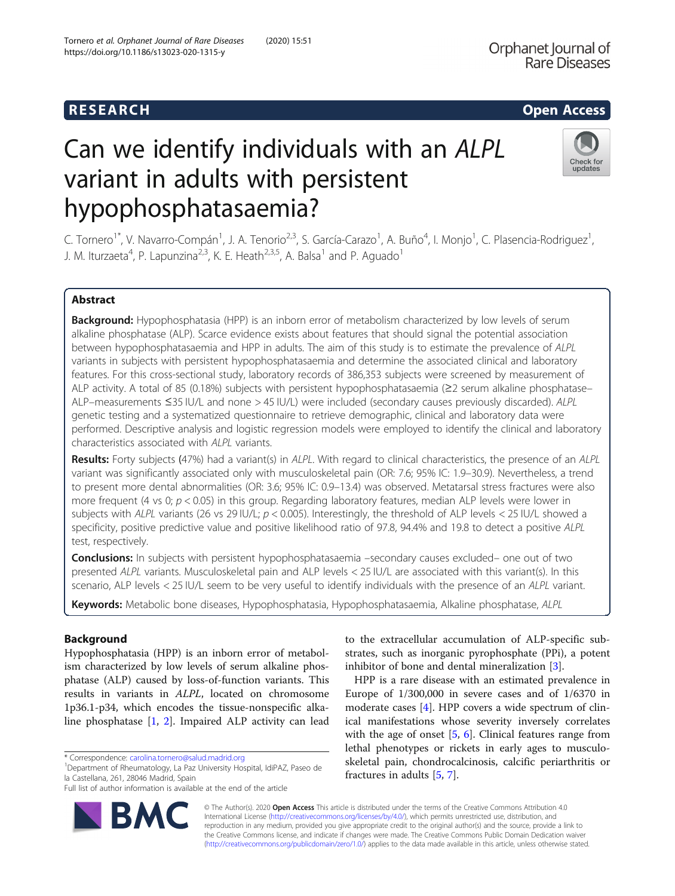# Can we identify individuals with an ALPL variant in adults with persistent hypophosphatasaemia?



C. Tornero<sup>1\*</sup>, V. Navarro-Compán<sup>1</sup>, J. A. Tenorio<sup>2,3</sup>, S. García-Carazo<sup>1</sup>, A. Buño<sup>4</sup>, I. Monjo<sup>1</sup>, C. Plasencia-Rodriguez<sup>1</sup> , J. M. Iturzaeta<sup>4</sup>, P. Lapunzina<sup>2,3</sup>, K. E. Heath<sup>2,3,5</sup>, A. Balsa<sup>1</sup> and P. Aguado<sup>1</sup>

# Abstract

Background: Hypophosphatasia (HPP) is an inborn error of metabolism characterized by low levels of serum alkaline phosphatase (ALP). Scarce evidence exists about features that should signal the potential association between hypophosphatasaemia and HPP in adults. The aim of this study is to estimate the prevalence of ALPL variants in subjects with persistent hypophosphatasaemia and determine the associated clinical and laboratory features. For this cross-sectional study, laboratory records of 386,353 subjects were screened by measurement of ALP activity. A total of 85 (0.18%) subjects with persistent hypophosphatasaemia (≥2 serum alkaline phosphatase– ALP–measurements ≤35 IU/L and none > 45 IU/L) were included (secondary causes previously discarded). ALPL genetic testing and a systematized questionnaire to retrieve demographic, clinical and laboratory data were performed. Descriptive analysis and logistic regression models were employed to identify the clinical and laboratory characteristics associated with ALPL variants.

Results: Forty subjects (47%) had a variant(s) in ALPL. With regard to clinical characteristics, the presence of an ALPL variant was significantly associated only with musculoskeletal pain (OR: 7.6; 95% IC: 1.9–30.9). Nevertheless, a trend to present more dental abnormalities (OR: 3.6; 95% IC: 0.9–13.4) was observed. Metatarsal stress fractures were also more frequent (4 vs 0;  $p < 0.05$ ) in this group. Regarding laboratory features, median ALP levels were lower in subjects with ALPL variants (26 vs 29 IU/L;  $p < 0.005$ ). Interestingly, the threshold of ALP levels  $< 25$  IU/L showed a specificity, positive predictive value and positive likelihood ratio of 97.8, 94.4% and 19.8 to detect a positive ALPL test, respectively.

**Conclusions:** In subjects with persistent hypophosphatasaemia –secondary causes excluded– one out of two presented ALPL variants. Musculoskeletal pain and ALP levels < 25 IU/L are associated with this variant(s). In this scenario, ALP levels < 25 IU/L seem to be very useful to identify individuals with the presence of an ALPL variant.

Keywords: Metabolic bone diseases, Hypophosphatasia, Hypophosphatasaemia, Alkaline phosphatase, ALPL

# **Background**

Hypophosphatasia (HPP) is an inborn error of metabolism characterized by low levels of serum alkaline phosphatase (ALP) caused by loss-of-function variants. This results in variants in ALPL, located on chromosome 1p36.1-p34, which encodes the tissue-nonspecific alkaline phosphatase [\[1](#page-7-0), [2](#page-7-0)]. Impaired ALP activity can lead

\* Correspondence: [carolina.tornero@salud.madrid.org](mailto:carolina.tornero@salud.madrid.org) <sup>1</sup>

Department of Rheumatology, La Paz University Hospital, IdiPAZ, Paseo de la Castellana, 261, 28046 Madrid, Spain

Full list of author information is available at the end of the article



to the extracellular accumulation of ALP-specific substrates, such as inorganic pyrophosphate (PPi), a potent inhibitor of bone and dental mineralization [[3\]](#page-7-0).

HPP is a rare disease with an estimated prevalence in Europe of 1/300,000 in severe cases and of 1/6370 in moderate cases [[4](#page-7-0)]. HPP covers a wide spectrum of clinical manifestations whose severity inversely correlates with the age of onset [[5,](#page-7-0) [6](#page-7-0)]. Clinical features range from lethal phenotypes or rickets in early ages to musculoskeletal pain, chondrocalcinosis, calcific periarthritis or fractures in adults [[5,](#page-7-0) [7\]](#page-7-0).

© The Author(s). 2020 **Open Access** This article is distributed under the terms of the Creative Commons Attribution 4.0 International License [\(http://creativecommons.org/licenses/by/4.0/](http://creativecommons.org/licenses/by/4.0/)), which permits unrestricted use, distribution, and reproduction in any medium, provided you give appropriate credit to the original author(s) and the source, provide a link to the Creative Commons license, and indicate if changes were made. The Creative Commons Public Domain Dedication waiver [\(http://creativecommons.org/publicdomain/zero/1.0/](http://creativecommons.org/publicdomain/zero/1.0/)) applies to the data made available in this article, unless otherwise stated.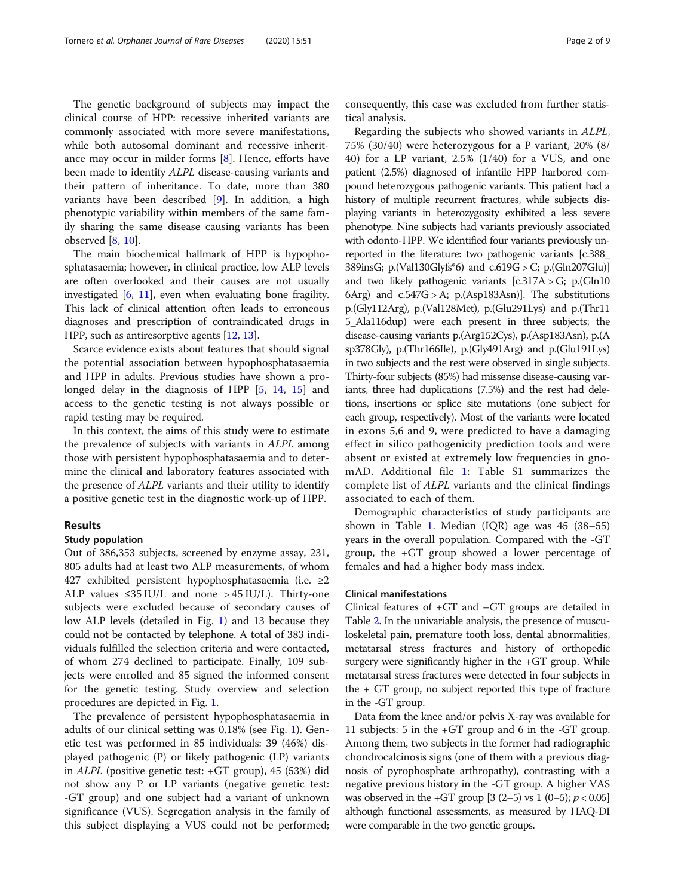The genetic background of subjects may impact the clinical course of HPP: recessive inherited variants are commonly associated with more severe manifestations, while both autosomal dominant and recessive inheritance may occur in milder forms [\[8](#page-7-0)]. Hence, efforts have been made to identify ALPL disease-causing variants and their pattern of inheritance. To date, more than 380 variants have been described [[9\]](#page-7-0). In addition, a high phenotypic variability within members of the same family sharing the same disease causing variants has been observed  $[8, 10]$  $[8, 10]$  $[8, 10]$  $[8, 10]$ .

The main biochemical hallmark of HPP is hypophosphatasaemia; however, in clinical practice, low ALP levels are often overlooked and their causes are not usually investigated  $[6, 11]$  $[6, 11]$  $[6, 11]$ , even when evaluating bone fragility. This lack of clinical attention often leads to erroneous diagnoses and prescription of contraindicated drugs in HPP, such as antiresorptive agents [\[12,](#page-7-0) [13\]](#page-7-0).

Scarce evidence exists about features that should signal the potential association between hypophosphatasaemia and HPP in adults. Previous studies have shown a pro-longed delay in the diagnosis of HPP [\[5](#page-7-0), [14](#page-7-0), [15](#page-7-0)] and access to the genetic testing is not always possible or rapid testing may be required.

In this context, the aims of this study were to estimate the prevalence of subjects with variants in ALPL among those with persistent hypophosphatasaemia and to determine the clinical and laboratory features associated with the presence of ALPL variants and their utility to identify a positive genetic test in the diagnostic work-up of HPP.

# Results

#### Study population

Out of 386,353 subjects, screened by enzyme assay, 231, 805 adults had at least two ALP measurements, of whom 427 exhibited persistent hypophosphatasaemia (i.e. ≥2 ALP values  $\leq$ 35 IU/L and none > 45 IU/L). Thirty-one subjects were excluded because of secondary causes of low ALP levels (detailed in Fig. [1\)](#page-2-0) and 13 because they could not be contacted by telephone. A total of 383 individuals fulfilled the selection criteria and were contacted, of whom 274 declined to participate. Finally, 109 subjects were enrolled and 85 signed the informed consent for the genetic testing. Study overview and selection procedures are depicted in Fig. [1](#page-2-0).

The prevalence of persistent hypophosphatasaemia in adults of our clinical setting was 0.18% (see Fig. [1](#page-2-0)). Genetic test was performed in 85 individuals: 39 (46%) displayed pathogenic (P) or likely pathogenic (LP) variants in ALPL (positive genetic test: +GT group), 45 (53%) did not show any P or LP variants (negative genetic test: -GT group) and one subject had a variant of unknown significance (VUS). Segregation analysis in the family of this subject displaying a VUS could not be performed; consequently, this case was excluded from further statistical analysis.

Regarding the subjects who showed variants in ALPL, 75% (30/40) were heterozygous for a P variant, 20% (8/ 40) for a LP variant, 2.5% (1/40) for a VUS, and one patient (2.5%) diagnosed of infantile HPP harbored compound heterozygous pathogenic variants. This patient had a history of multiple recurrent fractures, while subjects displaying variants in heterozygosity exhibited a less severe phenotype. Nine subjects had variants previously associated with odonto-HPP. We identified four variants previously unreported in the literature: two pathogenic variants [c.388\_ 389insG; p.(Val130Glyfs\*6) and c.619G > C; p.(Gln207Glu)] and two likely pathogenic variants  $[c.317A > G; p.(Gln10)$ 6Arg) and  $c.547G > A$ ; p.(Asp183Asn)]. The substitutions p.(Gly112Arg), p.(Val128Met), p.(Glu291Lys) and p.(Thr11 5\_Ala116dup) were each present in three subjects; the disease-causing variants p.(Arg152Cys), p.(Asp183Asn), p.(A sp378Gly), p.(Thr166Ile), p.(Gly491Arg) and p.(Glu191Lys) in two subjects and the rest were observed in single subjects. Thirty-four subjects (85%) had missense disease-causing variants, three had duplications (7.5%) and the rest had deletions, insertions or splice site mutations (one subject for each group, respectively). Most of the variants were located in exons 5,6 and 9, were predicted to have a damaging effect in silico pathogenicity prediction tools and were absent or existed at extremely low frequencies in gnomAD. Additional file [1](#page-7-0): Table S1 summarizes the complete list of ALPL variants and the clinical findings associated to each of them.

Demographic characteristics of study participants are shown in Table [1.](#page-3-0) Median (IQR) age was 45 (38–55) years in the overall population. Compared with the -GT group, the +GT group showed a lower percentage of females and had a higher body mass index.

#### Clinical manifestations

Clinical features of +GT and –GT groups are detailed in Table [2](#page-3-0). In the univariable analysis, the presence of musculoskeletal pain, premature tooth loss, dental abnormalities, metatarsal stress fractures and history of orthopedic surgery were significantly higher in the +GT group. While metatarsal stress fractures were detected in four subjects in the + GT group, no subject reported this type of fracture in the -GT group.

Data from the knee and/or pelvis X-ray was available for 11 subjects: 5 in the +GT group and 6 in the -GT group. Among them, two subjects in the former had radiographic chondrocalcinosis signs (one of them with a previous diagnosis of pyrophosphate arthropathy), contrasting with a negative previous history in the -GT group. A higher VAS was observed in the +GT group  $[3 (2–5) \text{ vs } 1 (0–5); p < 0.05]$ although functional assessments, as measured by HAQ-DI were comparable in the two genetic groups.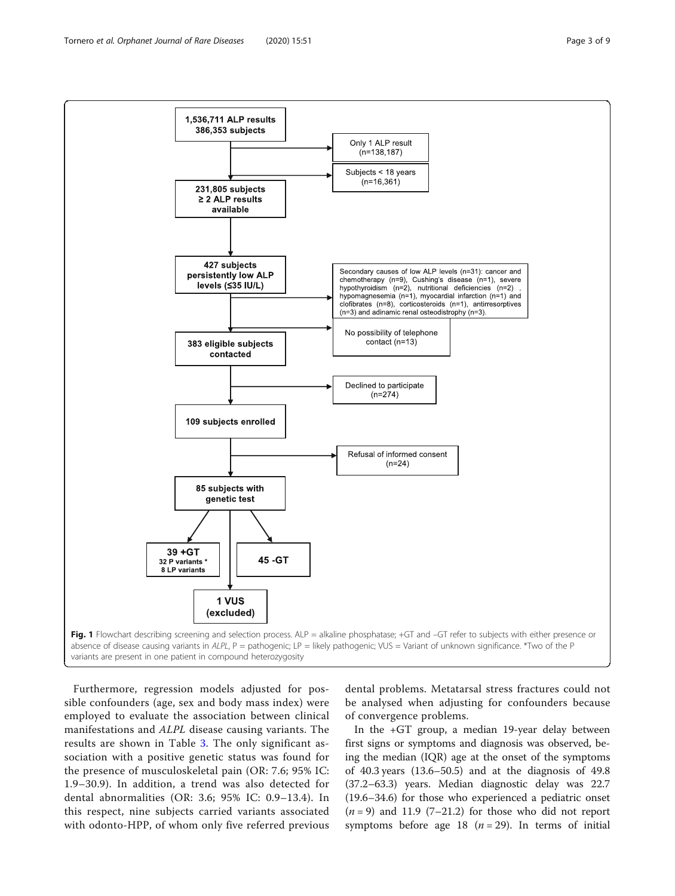<span id="page-2-0"></span>

Furthermore, regression models adjusted for possible confounders (age, sex and body mass index) were employed to evaluate the association between clinical manifestations and ALPL disease causing variants. The results are shown in Table [3.](#page-4-0) The only significant association with a positive genetic status was found for the presence of musculoskeletal pain (OR: 7.6; 95% IC: 1.9–30.9). In addition, a trend was also detected for dental abnormalities (OR: 3.6; 95% IC: 0.9–13.4). In this respect, nine subjects carried variants associated with odonto-HPP, of whom only five referred previous

dental problems. Metatarsal stress fractures could not be analysed when adjusting for confounders because of convergence problems.

In the +GT group, a median 19-year delay between first signs or symptoms and diagnosis was observed, being the median (IQR) age at the onset of the symptoms of 40.3 years (13.6–50.5) and at the diagnosis of 49.8 (37.2–63.3) years. Median diagnostic delay was 22.7 (19.6–34.6) for those who experienced a pediatric onset  $(n=9)$  and 11.9 (7–21.2) for those who did not report symptoms before age 18 ( $n = 29$ ). In terms of initial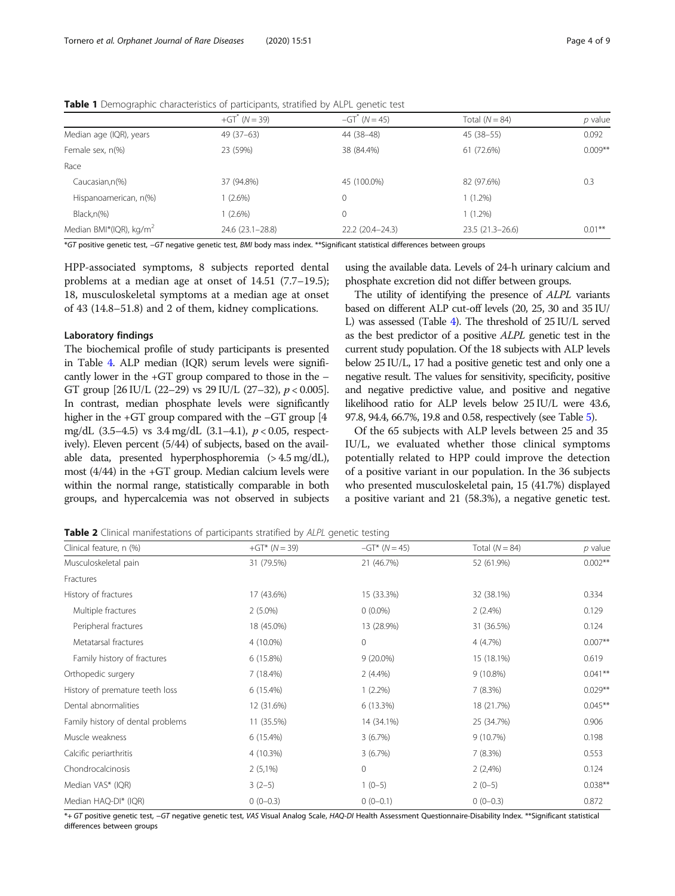|                         | + $GT^*$ (N = 39) | $-GT^{\dagger}$ (N = 45) | Total $(N = 84)$ | p value   |
|-------------------------|-------------------|--------------------------|------------------|-----------|
| Median age (IQR), years | 49 (37–63)        | 44 (38–48)               | 45 (38–55)       | 0.092     |
| Female sex, n(%)        | 23 (59%)          | 38 (84.4%)               | 61 (72.6%)       | $0.009**$ |
| Race                    |                   |                          |                  |           |

Caucasian,n(%) 37 (94.8%) 45 (100.0%) 82 (97.6%) 0.3

Median BMI\*(IQR), kg/m<sup>2</sup> 24.6 (23.1–28.8) 22.2 (20.4–24.3) 23.5 (21.3–26.6) 0.01<sup>\*\*</sup>

<span id="page-3-0"></span>Table 1 Demographic characteristics of participants, stratified by ALPL genetic test

\*GT positive genetic test, −GT negative genetic test, BMI body mass index. \*\*Significant statistical differences between groups

Hispanoamerican, n(%) 1 (2.6%) 1 (2.6%) 0 1 (1.2%) Black,n(%) 1 (2.6%) 1 (2.6%) 1 (2.6%) 1 (1.2%)

HPP-associated symptoms, 8 subjects reported dental problems at a median age at onset of 14.51 (7.7–19.5); 18, musculoskeletal symptoms at a median age at onset of 43 (14.8–51.8) and 2 of them, kidney complications.

# Laboratory findings

The biochemical profile of study participants is presented in Table [4](#page-4-0). ALP median (IQR) serum levels were significantly lower in the +GT group compared to those in the – GT group  $[26 \text{ IU/L } (22-29) \text{ vs } 29 \text{ IU/L } (27-32), p < 0.005].$ In contrast, median phosphate levels were significantly higher in the +GT group compared with the –GT group [4 mg/dL  $(3.5-4.5)$  vs  $3.4 \text{ mg/dL}$   $(3.1-4.1)$ ,  $p < 0.05$ , respectively). Eleven percent (5/44) of subjects, based on the available data, presented hyperphosphoremia (> 4.5 mg/dL), most (4/44) in the +GT group. Median calcium levels were within the normal range, statistically comparable in both groups, and hypercalcemia was not observed in subjects using the available data. Levels of 24-h urinary calcium and phosphate excretion did not differ between groups.

The utility of identifying the presence of ALPL variants based on different ALP cut-off levels (20, 25, 30 and 35 IU/ L) was assessed (Table [4](#page-4-0)). The threshold of 25 IU/L served as the best predictor of a positive ALPL genetic test in the current study population. Of the 18 subjects with ALP levels below 25 IU/L, 17 had a positive genetic test and only one a negative result. The values for sensitivity, specificity, positive and negative predictive value, and positive and negative likelihood ratio for ALP levels below 25 IU/L were 43.6, 97.8, 94.4, 66.7%, 19.8 and 0.58, respectively (see Table [5\)](#page-5-0).

Of the 65 subjects with ALP levels between 25 and 35 IU/L, we evaluated whether those clinical symptoms potentially related to HPP could improve the detection of a positive variant in our population. In the 36 subjects who presented musculoskeletal pain, 15 (41.7%) displayed a positive variant and 21 (58.3%), a negative genetic test.

**Table 2** Clinical manifestations of participants stratified by ALPL genetic testing

| Clinical feature, n (%)           | $+GT^*(N = 39)$ | $-GT^*$ (N = 45) | Total $(N = 84)$ | $p$ value  |
|-----------------------------------|-----------------|------------------|------------------|------------|
| Musculoskeletal pain              | 31 (79.5%)      | 21 (46.7%)       | 52 (61.9%)       | $0.002**$  |
| Fractures                         |                 |                  |                  |            |
| History of fractures              | 17 (43.6%)      | 15 (33.3%)       | 32 (38.1%)       | 0.334      |
| Multiple fractures                | $2(5.0\%)$      | $0(0.0\%)$       | 2(2.4%)          | 0.129      |
| Peripheral fractures              | 18 (45.0%)      | 13 (28.9%)       | 31 (36.5%)       | 0.124      |
| Metatarsal fractures              | 4 (10.0%)       | $\Omega$         | 4(4.7%)          | $0.007**$  |
| Family history of fractures       | 6(15.8%)        | $9(20.0\%)$      | 15 (18.1%)       | 0.619      |
| Orthopedic surgery                | 7(18.4%)        | $2(4.4\%)$       | $9(10.8\%)$      | $0.041***$ |
| History of premature teeth loss   | 6 (15.4%)       | $1(2.2\%)$       | 7(8.3%)          | $0.029**$  |
| Dental abnormalities              | 12 (31.6%)      | 6 (13.3%)        | 18 (21.7%)       | $0.045***$ |
| Family history of dental problems | 11 (35.5%)      | 14 (34.1%)       | 25 (34.7%)       | 0.906      |
| Muscle weakness                   | 6 (15.4%)       | 3(6.7%)          | 9 (10.7%)        | 0.198      |
| Calcific periarthritis            | 4 (10.3%)       | 3(6.7%)          | 7(8.3%)          | 0.553      |
| Chondrocalcinosis                 | $2(5,1\%)$      | 0                | 2(2,4%)          | 0.124      |
| Median VAS* (IQR)                 | $3(2-5)$        | $1(0-5)$         | $2(0-5)$         | $0.038**$  |
| Median HAQ-DI* (IQR)              | $0(0-0.3)$      | $0(0-0.1)$       | $0(0-0.3)$       | 0.872      |

\*+ GT positive genetic test, −GT negative genetic test, VAS Visual Analog Scale, HAQ-DI Health Assessment Questionnaire-Disability Index. \*\*Significant statistical differences between groups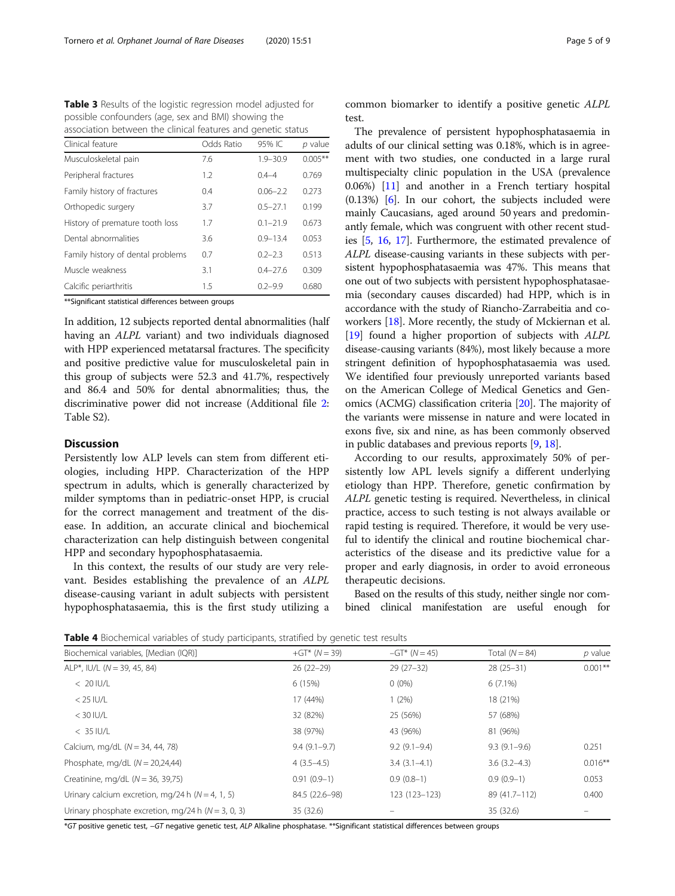<span id="page-4-0"></span>Table 3 Results of the logistic regression model adjusted for possible confounders (age, sex and BMI) showing the association between the clinical features and genetic status

| Clinical feature                  | Odds Ratio | 95% IC       | p value    |
|-----------------------------------|------------|--------------|------------|
| Musculoskeletal pain              | 7.6        | $1.9 - 30.9$ | $0.005***$ |
| Peripheral fractures              | 1.2        | $0.4 - 4$    | 0.769      |
| Family history of fractures       | 0.4        | $0.06 - 2.2$ | 0.273      |
| Orthopedic surgery                | 3.7        | $0.5 - 27.1$ | 0.199      |
| History of premature tooth loss   | 1.7        | $0.1 - 21.9$ | 0.673      |
| Dental abnormalities              | 3.6        | $0.9 - 13.4$ | 0.053      |
| Family history of dental problems | 0.7        | $0.2 - 2.3$  | 0.513      |
| Muscle weakness                   | 3.1        | $0.4 - 27.6$ | 0.309      |
| Calcific periarthritis            | 1.5        | $0.2 - 9.9$  | 0.680      |

\*\*Significant statistical differences between groups

In addition, 12 subjects reported dental abnormalities (half having an ALPL variant) and two individuals diagnosed with HPP experienced metatarsal fractures. The specificity and positive predictive value for musculoskeletal pain in this group of subjects were 52.3 and 41.7%, respectively and 86.4 and 50% for dental abnormalities; thus, the discriminative power did not increase (Additional file [2](#page-7-0): Table S2).

# **Discussion**

Persistently low ALP levels can stem from different etiologies, including HPP. Characterization of the HPP spectrum in adults, which is generally characterized by milder symptoms than in pediatric-onset HPP, is crucial for the correct management and treatment of the disease. In addition, an accurate clinical and biochemical characterization can help distinguish between congenital HPP and secondary hypophosphatasaemia.

In this context, the results of our study are very relevant. Besides establishing the prevalence of an ALPL disease-causing variant in adult subjects with persistent hypophosphatasaemia, this is the first study utilizing a common biomarker to identify a positive genetic ALPL test.

The prevalence of persistent hypophosphatasaemia in adults of our clinical setting was 0.18%, which is in agreement with two studies, one conducted in a large rural multispecialty clinic population in the USA (prevalence 0.06%) [[11\]](#page-7-0) and another in a French tertiary hospital (0.13%) [[6](#page-7-0)]. In our cohort, the subjects included were mainly Caucasians, aged around 50 years and predominantly female, which was congruent with other recent studies [\[5](#page-7-0), [16,](#page-7-0) [17\]](#page-7-0). Furthermore, the estimated prevalence of ALPL disease-causing variants in these subjects with persistent hypophosphatasaemia was 47%. This means that one out of two subjects with persistent hypophosphatasaemia (secondary causes discarded) had HPP, which is in accordance with the study of Riancho-Zarrabeitia and coworkers [[18](#page-7-0)]. More recently, the study of Mckiernan et al. [[19](#page-7-0)] found a higher proportion of subjects with ALPL disease-causing variants (84%), most likely because a more stringent definition of hypophosphatasaemia was used. We identified four previously unreported variants based on the American College of Medical Genetics and Genomics (ACMG) classification criteria [[20](#page-7-0)]. The majority of the variants were missense in nature and were located in exons five, six and nine, as has been commonly observed in public databases and previous reports [\[9,](#page-7-0) [18](#page-7-0)].

According to our results, approximately 50% of persistently low APL levels signify a different underlying etiology than HPP. Therefore, genetic confirmation by ALPL genetic testing is required. Nevertheless, in clinical practice, access to such testing is not always available or rapid testing is required. Therefore, it would be very useful to identify the clinical and routine biochemical characteristics of the disease and its predictive value for a proper and early diagnosis, in order to avoid erroneous therapeutic decisions.

Based on the results of this study, neither single nor combined clinical manifestation are useful enough for

Table 4 Biochemical variables of study participants, stratified by genetic test results

| $\sim$ $\sim$                                        |                 |                      |                  |            |
|------------------------------------------------------|-----------------|----------------------|------------------|------------|
| Biochemical variables, [Median (IQR)]                | $+GT^*(N = 39)$ | $-GT^*$ ( $N = 45$ ) | Total $(N = 84)$ | $p$ value  |
| ALP*, IU/L $(N = 39, 45, 84)$                        | $26(22-29)$     | $29(27-32)$          | $28(25-31)$      | $0.001**$  |
| $< 20$ IU/L                                          | 6 (15%)         | $0(0\%)$             | $6(7.1\%)$       |            |
| $<$ 25 IU/L                                          | 17 (44%)        | $1(2\%)$             | 18 (21%)         |            |
| $<$ 30 IU/L                                          | 32 (82%)        | 25 (56%)             | 57 (68%)         |            |
| $< 35$ IU/L                                          | 38 (97%)        | 43 (96%)             | 81 (96%)         |            |
| Calcium, mg/dL $(N = 34, 44, 78)$                    | $9.4(9.1-9.7)$  | $9.2(9.1-9.4)$       | $9.3(9.1-9.6)$   | 0.251      |
| Phosphate, mg/dL $(N = 20,24,44)$                    | $4(3.5-4.5)$    | $3.4(3.1-4.1)$       | $3.6(3.2 - 4.3)$ | $0.016***$ |
| Creatinine, mg/dL $(N = 36, 39,75)$                  | $0.91(0.9-1)$   | $0.9(0.8-1)$         | $0.9(0.9-1)$     | 0.053      |
| Urinary calcium excretion, mg/24 h $(N = 4, 1, 5)$   | 84.5 (22.6-98)  | 123 (123-123)        | 89 (41.7-112)    | 0.400      |
| Urinary phosphate excretion, mg/24 h $(N = 3, 0, 3)$ | 35 (32.6)       |                      | 35 (32.6)        |            |
|                                                      |                 |                      |                  |            |

\*GT positive genetic test, −GT negative genetic test, ALP Alkaline phosphatase. \*\*Significant statistical differences between groups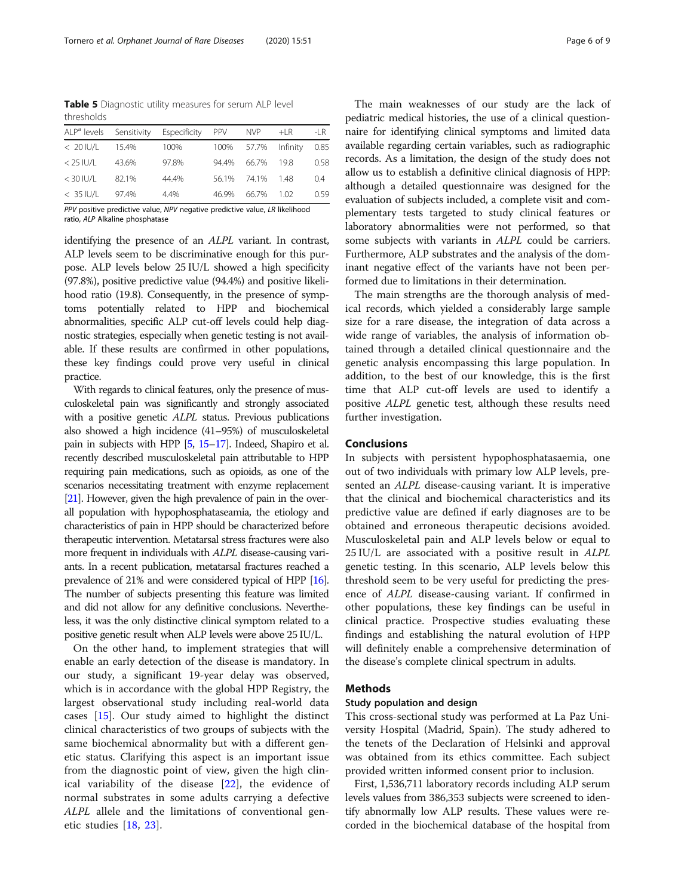<span id="page-5-0"></span>Table 5 Diagnostic utility measures for serum ALP level thresholds

| ALP <sup>a</sup> levels |       | Sensitivity Especificity | <b>PPV</b> | NVP <b>NV</b>       | $+LR$ | $-IR$ |
|-------------------------|-------|--------------------------|------------|---------------------|-------|-------|
| $< 20$ IU/L             | 15.4% | 100%                     |            | 100% 57.7% Infinity |       | 0.85  |
| $<$ 25 IU/L             | 43.6% | 97.8%                    | 94 4%      | 66.7%               | 198   | 0.58  |
| $<$ 30 IU/L             | 821%  | 44.4%                    |            | 56.1% 74.1%         | 148   | 0.4   |
| $< 35$ IU/L             | 974%  | 4.4%                     | 46.9%      | 66.7%               | 1.02  | 0.59  |

PPV positive predictive value, NPV negative predictive value, LR likelihood ratio, ALP Alkaline phosphatase

identifying the presence of an ALPL variant. In contrast, ALP levels seem to be discriminative enough for this purpose. ALP levels below 25 IU/L showed a high specificity (97.8%), positive predictive value (94.4%) and positive likelihood ratio (19.8). Consequently, in the presence of symptoms potentially related to HPP and biochemical abnormalities, specific ALP cut-off levels could help diagnostic strategies, especially when genetic testing is not available. If these results are confirmed in other populations, these key findings could prove very useful in clinical practice.

With regards to clinical features, only the presence of musculoskeletal pain was significantly and strongly associated with a positive genetic *ALPL* status. Previous publications also showed a high incidence (41–95%) of musculoskeletal pain in subjects with HPP [\[5,](#page-7-0) [15](#page-7-0)–[17](#page-7-0)]. Indeed, Shapiro et al. recently described musculoskeletal pain attributable to HPP requiring pain medications, such as opioids, as one of the scenarios necessitating treatment with enzyme replacement [[21\]](#page-7-0). However, given the high prevalence of pain in the overall population with hypophosphataseamia, the etiology and characteristics of pain in HPP should be characterized before therapeutic intervention. Metatarsal stress fractures were also more frequent in individuals with ALPL disease-causing variants. In a recent publication, metatarsal fractures reached a prevalence of 21% and were considered typical of HPP [\[16\]](#page-7-0). The number of subjects presenting this feature was limited and did not allow for any definitive conclusions. Nevertheless, it was the only distinctive clinical symptom related to a positive genetic result when ALP levels were above 25 IU/L.

On the other hand, to implement strategies that will enable an early detection of the disease is mandatory. In our study, a significant 19-year delay was observed, which is in accordance with the global HPP Registry, the largest observational study including real-world data cases [\[15\]](#page-7-0). Our study aimed to highlight the distinct clinical characteristics of two groups of subjects with the same biochemical abnormality but with a different genetic status. Clarifying this aspect is an important issue from the diagnostic point of view, given the high clinical variability of the disease [\[22](#page-7-0)], the evidence of normal substrates in some adults carrying a defective ALPL allele and the limitations of conventional genetic studies [[18,](#page-7-0) [23\]](#page-7-0).

The main weaknesses of our study are the lack of pediatric medical histories, the use of a clinical questionnaire for identifying clinical symptoms and limited data available regarding certain variables, such as radiographic records. As a limitation, the design of the study does not allow us to establish a definitive clinical diagnosis of HPP: although a detailed questionnaire was designed for the evaluation of subjects included, a complete visit and complementary tests targeted to study clinical features or laboratory abnormalities were not performed, so that some subjects with variants in ALPL could be carriers. Furthermore, ALP substrates and the analysis of the dominant negative effect of the variants have not been performed due to limitations in their determination.

The main strengths are the thorough analysis of medical records, which yielded a considerably large sample size for a rare disease, the integration of data across a wide range of variables, the analysis of information obtained through a detailed clinical questionnaire and the genetic analysis encompassing this large population. In addition, to the best of our knowledge, this is the first time that ALP cut-off levels are used to identify a positive ALPL genetic test, although these results need further investigation.

# Conclusions

In subjects with persistent hypophosphatasaemia, one out of two individuals with primary low ALP levels, presented an ALPL disease-causing variant. It is imperative that the clinical and biochemical characteristics and its predictive value are defined if early diagnoses are to be obtained and erroneous therapeutic decisions avoided. Musculoskeletal pain and ALP levels below or equal to 25 IU/L are associated with a positive result in ALPL genetic testing. In this scenario, ALP levels below this threshold seem to be very useful for predicting the presence of ALPL disease-causing variant. If confirmed in other populations, these key findings can be useful in clinical practice. Prospective studies evaluating these findings and establishing the natural evolution of HPP will definitely enable a comprehensive determination of the disease's complete clinical spectrum in adults.

# Methods

### Study population and design

This cross-sectional study was performed at La Paz University Hospital (Madrid, Spain). The study adhered to the tenets of the Declaration of Helsinki and approval was obtained from its ethics committee. Each subject provided written informed consent prior to inclusion.

First, 1,536,711 laboratory records including ALP serum levels values from 386,353 subjects were screened to identify abnormally low ALP results. These values were recorded in the biochemical database of the hospital from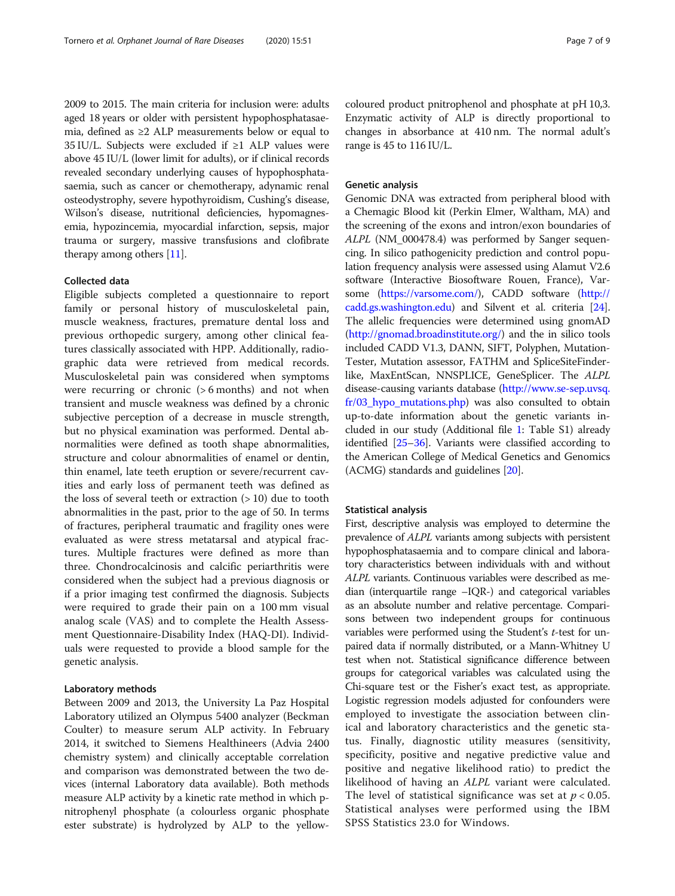2009 to 2015. The main criteria for inclusion were: adults aged 18 years or older with persistent hypophosphatasaemia, defined as ≥2 ALP measurements below or equal to 35 IU/L. Subjects were excluded if ≥1 ALP values were above 45 IU/L (lower limit for adults), or if clinical records revealed secondary underlying causes of hypophosphatasaemia, such as cancer or chemotherapy, adynamic renal osteodystrophy, severe hypothyroidism, Cushing's disease, Wilson's disease, nutritional deficiencies, hypomagnesemia, hypozincemia, myocardial infarction, sepsis, major trauma or surgery, massive transfusions and clofibrate therapy among others [[11\]](#page-7-0).

# Collected data

Eligible subjects completed a questionnaire to report family or personal history of musculoskeletal pain, muscle weakness, fractures, premature dental loss and previous orthopedic surgery, among other clinical features classically associated with HPP. Additionally, radiographic data were retrieved from medical records. Musculoskeletal pain was considered when symptoms were recurring or chronic (> 6 months) and not when transient and muscle weakness was defined by a chronic subjective perception of a decrease in muscle strength, but no physical examination was performed. Dental abnormalities were defined as tooth shape abnormalities, structure and colour abnormalities of enamel or dentin, thin enamel, late teeth eruption or severe/recurrent cavities and early loss of permanent teeth was defined as the loss of several teeth or extraction  $(>10)$  due to tooth abnormalities in the past, prior to the age of 50. In terms of fractures, peripheral traumatic and fragility ones were evaluated as were stress metatarsal and atypical fractures. Multiple fractures were defined as more than three. Chondrocalcinosis and calcific periarthritis were considered when the subject had a previous diagnosis or if a prior imaging test confirmed the diagnosis. Subjects were required to grade their pain on a 100 mm visual analog scale (VAS) and to complete the Health Assessment Questionnaire-Disability Index (HAQ-DI). Individuals were requested to provide a blood sample for the genetic analysis.

# Laboratory methods

Between 2009 and 2013, the University La Paz Hospital Laboratory utilized an Olympus 5400 analyzer (Beckman Coulter) to measure serum ALP activity. In February 2014, it switched to Siemens Healthineers (Advia 2400 chemistry system) and clinically acceptable correlation and comparison was demonstrated between the two devices (internal Laboratory data available). Both methods measure ALP activity by a kinetic rate method in which pnitrophenyl phosphate (a colourless organic phosphate ester substrate) is hydrolyzed by ALP to the yellowcoloured product pnitrophenol and phosphate at pH 10,3. Enzymatic activity of ALP is directly proportional to changes in absorbance at 410 nm. The normal adult's range is 45 to 116 IU/L.

# Genetic analysis

Genomic DNA was extracted from peripheral blood with a Chemagic Blood kit (Perkin Elmer, Waltham, MA) and the screening of the exons and intron/exon boundaries of ALPL (NM\_000478.4) was performed by Sanger sequencing. In silico pathogenicity prediction and control population frequency analysis were assessed using Alamut V2.6 software (Interactive Biosoftware Rouen, France), Varsome [\(https://varsome.com/\)](https://varsome.com/), CADD software ([http://](http://cadd.gs.washington.edu) [cadd.gs.washington.edu\)](http://cadd.gs.washington.edu) and Silvent et al. criteria [[24](#page-7-0)]. The allelic frequencies were determined using gnomAD (<http://gnomad.broadinstitute.org/>) and the in silico tools included CADD V1.3, DANN, SIFT, Polyphen, Mutation-Tester, Mutation assessor, FATHM and SpliceSiteFinderlike, MaxEntScan, NNSPLICE, GeneSplicer. The ALPL disease-causing variants database [\(http://www.se-sep.uvsq.](http://www.se-sep.uvsq.fr/03_hypo_mutations.php) [fr/03\\_hypo\\_mutations.php\)](http://www.se-sep.uvsq.fr/03_hypo_mutations.php) was also consulted to obtain up-to-date information about the genetic variants included in our study (Additional file [1:](#page-7-0) Table S1) already identified [[25](#page-7-0)–[36](#page-8-0)]. Variants were classified according to the American College of Medical Genetics and Genomics (ACMG) standards and guidelines [\[20\]](#page-7-0).

# Statistical analysis

First, descriptive analysis was employed to determine the prevalence of ALPL variants among subjects with persistent hypophosphatasaemia and to compare clinical and laboratory characteristics between individuals with and without ALPL variants. Continuous variables were described as median (interquartile range –IQR-) and categorical variables as an absolute number and relative percentage. Comparisons between two independent groups for continuous variables were performed using the Student's t-test for unpaired data if normally distributed, or a Mann-Whitney U test when not. Statistical significance difference between groups for categorical variables was calculated using the Chi-square test or the Fisher's exact test, as appropriate. Logistic regression models adjusted for confounders were employed to investigate the association between clinical and laboratory characteristics and the genetic status. Finally, diagnostic utility measures (sensitivity, specificity, positive and negative predictive value and positive and negative likelihood ratio) to predict the likelihood of having an ALPL variant were calculated. The level of statistical significance was set at  $p < 0.05$ . Statistical analyses were performed using the IBM SPSS Statistics 23.0 for Windows.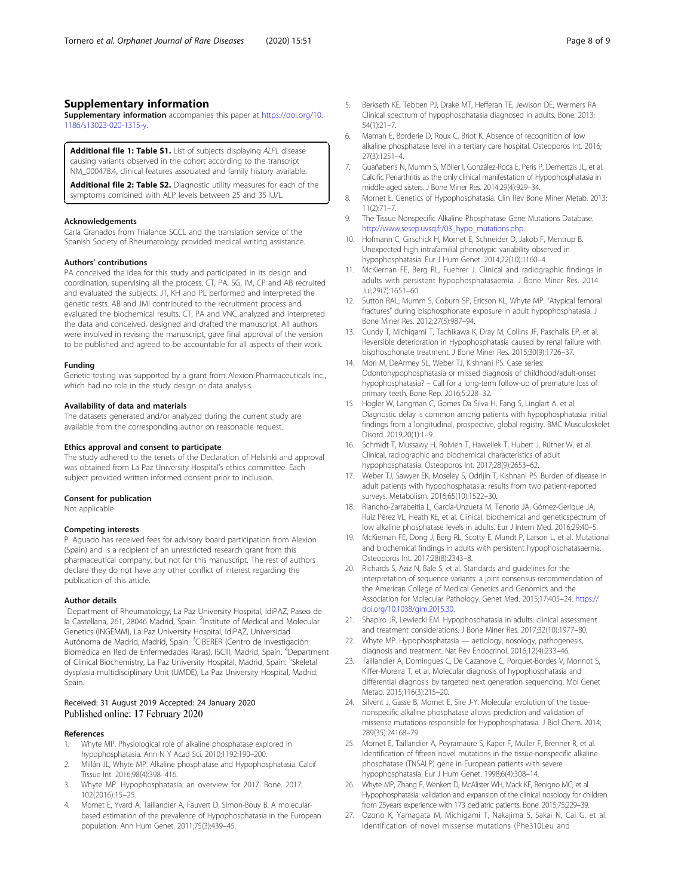# <span id="page-7-0"></span>Supplementary information

Supplementary information accompanies this paper at [https://doi.org/10.](https://doi.org/10.1186/s13023-020-1315-y) [1186/s13023-020-1315-y](https://doi.org/10.1186/s13023-020-1315-y).

Additional file 1: Table S1. List of subjects displaying ALPL disease causing variants observed in the cohort according to the transcript NM\_000478.4, clinical features associated and family history available.

Additional file 2: Table S2. Diagnostic utility measures for each of the symptoms combined with ALP levels between 25 and 35 IU/L.

#### Acknowledgements

Carla Granados from Trialance SCCL and the translation service of the Spanish Society of Rheumatology provided medical writing assistance.

#### Authors' contributions

PA conceived the idea for this study and participated in its design and coordination, supervising all the process. CT, PA, SG, IM, CP and AB recruited and evaluated the subjects. JT, KH and PL performed and interpreted the genetic tests. AB and JMI contributed to the recruitment process and evaluated the biochemical results. CT, PA and VNC analyzed and interpreted the data and conceived, designed and drafted the manuscript. All authors were involved in revising the manuscript, gave final approval of the version to be published and agreed to be accountable for all aspects of their work.

### Funding

Genetic testing was supported by a grant from Alexion Pharmaceuticals Inc., which had no role in the study design or data analysis.

### Availability of data and materials

The datasets generated and/or analyzed during the current study are available from the corresponding author on reasonable request.

#### Ethics approval and consent to participate

The study adhered to the tenets of the Declaration of Helsinki and approval was obtained from La Paz University Hospital's ethics committee. Each subject provided written informed consent prior to inclusion.

# Consent for publication

Not applicable

# Competing interests

P. Aguado has received fees for advisory board participation from Alexion (Spain) and is a recipient of an unrestricted research grant from this pharmaceutical company, but not for this manuscript. The rest of authors declare they do not have any other conflict of interest regarding the publication of this article.

### Author details

<sup>1</sup>Department of Rheumatology, La Paz University Hospital, IdiPAZ, Paseo de la Castellana, 261, 28046 Madrid, Spain. <sup>2</sup>Institute of Medical and Molecular Genetics (INGEMM), La Paz University Hospital, IdiPAZ, Universidad Autónoma de Madrid, Madrid, Spain. <sup>3</sup>CIBERER (Centro de Investigación Biomédica en Red de Enfermedades Raras), ISCIII, Madrid, Spain. <sup>4</sup>Department of Clinical Biochemistry, La Paz University Hospital, Madrid, Spain. <sup>5</sup>Skeletal dysplasia multidisciplinary Unit (UMDE), La Paz University Hospital, Madrid, Spain.

# Received: 31 August 2019 Accepted: 24 January 2020 Published online: 17 February 2020

#### References

- 1. Whyte MP. Physiological role of alkaline phosphatase explored in hypophosphatasia. Ann N Y Acad Sci. 2010;1192:190–200.
- 2. Millán JL, Whyte MP. Alkaline phosphatase and Hypophosphatasia. Calcif Tissue Int. 2016;98(4):398–416.
- Whyte MP. Hypophosphatasia: an overview for 2017. Bone. 2017; 102(2016):15–25.
- 4. Mornet E, Yvard A, Taillandier A, Fauvert D, Simon-Bouy B. A molecularbased estimation of the prevalence of Hypophosphatasia in the European population. Ann Hum Genet. 2011;75(3):439–45.
- 5. Berkseth KE, Tebben PJ, Drake MT, Hefferan TE, Jewison DE, Wermers RA. Clinical spectrum of hypophosphatasia diagnosed in adults. Bone. 2013; 54(1):21–7.
- 6. Maman E, Borderie D, Roux C, Briot K. Absence of recognition of low alkaline phosphatase level in a tertiary care hospital. Osteoporos Int. 2016; 27(3):1251–4.
- 7. Guañabens N, Mumm S, Möller I, González-Roca E, Peris P, Demertzis JL, et al. Calcific Periarthritis as the only clinical manifestation of Hypophosphatasia in middle-aged sisters. J Bone Miner Res. 2014;29(4):929–34.
- 8. Mornet E. Genetics of Hypophosphatasia. Clin Rev Bone Miner Metab. 2013; 11(2):71–7.
- 9. The Tissue Nonspecific Alkaline Phosphatase Gene Mutations Database. [http://www.sesep.uvsq.fr/03\\_hypo\\_mutations.php](http://www.sesep.uvsq.fr/03_hypo_mutations.php).
- 10. Hofmann C, Girschick H, Mornet E, Schneider D, Jakob F, Mentrup B. Unexpected high intrafamilial phenotypic variability observed in hypophosphatasia. Eur J Hum Genet. 2014;22(10):1160–4.
- 11. McKiernan FE, Berg RL, Fuehrer J. Clinical and radiographic findings in adults with persistent hypophosphatasaemia. J Bone Miner Res. 2014 Jul;29(7):1651–60.
- 12. Sutton RAL, Mumm S, Coburn SP, Ericson KL, Whyte MP. "Atypical femoral fractures" during bisphosphonate exposure in adult hypophosphatasia. J Bone Miner Res. 2012;27(5):987–94.
- 13. Cundy T, Michigami T, Tachikawa K, Dray M, Collins JF, Paschalis EP, et al. Reversible deterioration in Hypophosphatasia caused by renal failure with bisphosphonate treatment. J Bone Miner Res. 2015;30(9):1726–37.
- 14. Mori M, DeArmey SL, Weber TJ, Kishnani PS. Case series: Odontohypophosphatasia or missed diagnosis of childhood/adult-onset hypophosphatasia? – Call for a long-term follow-up of premature loss of primary teeth. Bone Rep. 2016;5:228–32.
- 15. Högler W, Langman C, Gomes Da Silva H, Fang S, Linglart A, et al. Diagnostic delay is common among patients with hypophosphatasia: initial findings from a longitudinal, prospective, global registry. BMC Musculoskelet Disord. 2019;20(1):1–9.
- 16. Schmidt T, Mussawy H, Rolvien T, Hawellek T, Hubert J, Rüther W, et al. Clinical, radiographic and biochemical characteristics of adult hypophosphatasia. Osteoporos Int. 2017;28(9):2653–62.
- 17. Weber TJ, Sawyer EK, Moseley S, Odrljin T, Kishnani PS. Burden of disease in adult patients with hypophosphatasia: results from two patient-reported surveys. Metabolism. 2016;65(10):1522–30.
- 18. Riancho-Zarrabeitia L, García-Unzueta M, Tenorio JA, Gómez-Gerique JA, Ruiz Pérez VL, Heath KE, et al. Clinical, biochemical and geneticspectrum of low alkaline phosphatase levels in adults. Eur J Intern Med. 2016;29:40–5.
- 19. McKiernan FE, Dong J, Berg RL, Scotty E, Mundt P, Larson L, et al. Mutational and biochemical findings in adults with persistent hypophosphatasaemia. Osteoporos Int. 2017;28(8):2343–8.
- 20. Richards S, Aziz N, Bale S, et al. Standards and guidelines for the interpretation of sequence variants: a joint consensus recommendation of the American College of Medical Genetics and Genomics and the Association for Molecular Pathology. Genet Med. 2015;17:405–24. [https://](https://doi.org/10.1038/gim.2015.30) [doi.org/10.1038/gim.2015.30](https://doi.org/10.1038/gim.2015.30).
- 21. Shapiro JR, Lewiecki EM. Hypophosphatasia in adults: clinical assessment and treatment considerations. J Bone Miner Res. 2017;32(10):1977–80.
- 22. Whyte MP. Hypophosphatasia aetiology, nosology, pathogenesis, diagnosis and treatment. Nat Rev Endocrinol. 2016;12(4):233–46.
- 23. Taillandier A, Domingues C, De Cazanove C, Porquet-Bordes V, Monnot S, Kiffer-Moreira T, et al. Molecular diagnosis of hypophosphatasia and differential diagnosis by targeted next generation sequencing. Mol Genet Metab. 2015;116(3):215–20.
- 24. Silvent J, Gasse B, Mornet E, Sire J-Y. Molecular evolution of the tissuenonspecific alkaline phosphatase allows prediction and validation of missense mutations responsible for Hypophosphatasia. J Biol Chem. 2014; 289(35):24168–79.
- 25. Mornet E, Taillandier A, Peyramaure S, Kaper F, Muller F, Brenner R, et al. Identification of fifteen novel mutations in the tissue-nonspecific alkaline phosphatase (TNSALP) gene in European patients with severe hypophosphatasia. Eur J Hum Genet. 1998;6(4):308–14.
- 26. Whyte MP, Zhang F, Wenkert D, McAlister WH, Mack KE, Benigno MC, et al. Hypophosphatasia: validation and expansion of the clinical nosology for children from 25years experience with 173 pediatric patients. Bone. 2015;75:229–39.
- 27. Ozono K, Yamagata M, Michigami T, Nakajima S, Sakai N, Cai G, et al. Identification of novel missense mutations (Phe310Leu and